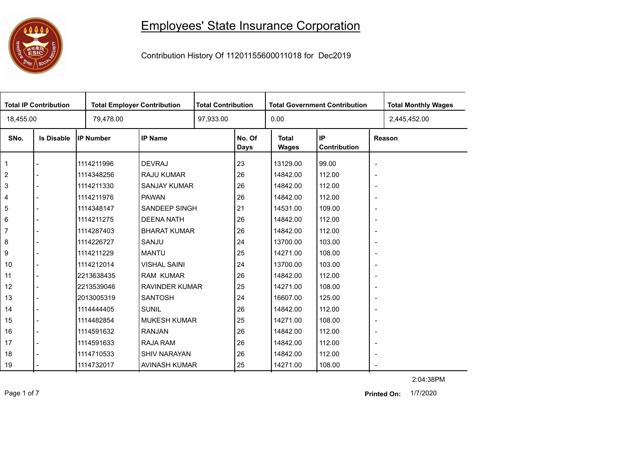## 

## Employees' State Insurance Corporation

Contribution History Of 11201155600011018 for Dec2019

| <b>Total IP Contribution</b> |                   |                  | <b>Total Employer Contribution</b> |  | <b>Total Contribution</b><br><b>Total Government Contribution</b> |                              |                    |                          | <b>Total Monthly Wages</b> |
|------------------------------|-------------------|------------------|------------------------------------|--|-------------------------------------------------------------------|------------------------------|--------------------|--------------------------|----------------------------|
| 18,455.00                    |                   | 79,478.00        |                                    |  | 97,933.00                                                         |                              |                    |                          | 2,445,452.00               |
| SNo.                         | <b>Is Disable</b> | <b>IP Number</b> | <b>IP Name</b>                     |  | No. Of<br>Days                                                    | <b>Total</b><br><b>Wages</b> | IP<br>Contribution |                          | Reason                     |
| $\mathbf{1}$                 |                   | 1114211996       | <b>DEVRAJ</b>                      |  | 23                                                                | 13129.00                     | 99.00              | $\overline{\phantom{a}}$ |                            |
| $\overline{2}$               |                   | 1114348256       | <b>RAJU KUMAR</b>                  |  | 26                                                                | 14842.00                     | 112.00             | $\overline{\phantom{a}}$ |                            |
| $\mathbf{3}$                 |                   | 1114211330       | SANJAY KUMAR                       |  | 26                                                                | 14842.00                     | 112.00             | $\overline{\phantom{a}}$ |                            |
| $\overline{4}$               |                   | 1114211976       | <b>PAWAN</b>                       |  | 26                                                                | 14842.00                     | 112.00             | $\overline{\phantom{a}}$ |                            |
| 5                            |                   | 1114348147       | <b>SANDEEP SINGH</b>               |  | 21                                                                | 14531.00                     | 109.00             | $\overline{\phantom{a}}$ |                            |
| 6                            |                   | 1114211275       | <b>DEENA NATH</b>                  |  | 26                                                                | 14842.00                     | 112.00             | $\overline{\phantom{a}}$ |                            |
| $\overline{7}$               |                   | 1114287403       | <b>BHARAT KUMAR</b>                |  | 26                                                                | 14842.00                     | 112.00             | $\overline{\phantom{a}}$ |                            |
| 8                            |                   | 1114226727       | SANJU                              |  | 24                                                                | 13700.00                     | 103.00             | $\overline{\phantom{a}}$ |                            |
| 9                            |                   | 1114211229       | <b>MANTU</b>                       |  | 25                                                                | 14271.00                     | 108.00             | $\overline{\phantom{a}}$ |                            |
| 10                           |                   | 1114212014       | <b>VISHAL SAINI</b>                |  | 24                                                                | 13700.00                     | 103.00             | $\overline{\phantom{a}}$ |                            |
| 11                           |                   | 2213638435       | <b>RAM KUMAR</b>                   |  | 26                                                                | 14842.00                     | 112.00             | $\blacksquare$           |                            |
| 12                           |                   | 2213539046       | <b>RAVINDER KUMAR</b>              |  | 25                                                                | 14271.00                     | 108.00             | $\overline{\phantom{a}}$ |                            |
| 13                           |                   | 2013005319       | <b>SANTOSH</b>                     |  | 24                                                                | 16607.00                     | 125.00             | $\overline{\phantom{a}}$ |                            |
| 14                           |                   | 1114444405       | <b>SUNIL</b>                       |  | 26                                                                | 14842.00                     | 112.00             | $\overline{\phantom{a}}$ |                            |
| 15                           |                   | 1114482854       | <b>MUKESH KUMAR</b>                |  | 25                                                                | 14271.00                     | 108.00             | $\overline{\phantom{a}}$ |                            |
| 16                           |                   | 1114591632       | <b>RANJAN</b>                      |  | 26                                                                | 14842.00                     | 112.00             | $\overline{\phantom{a}}$ |                            |
| 17                           |                   | 1114591633       | RAJA RAM                           |  | 26                                                                | 14842.00                     | 112.00             | $\overline{\phantom{a}}$ |                            |
| 18                           |                   | 1114710533       | <b>SHIV NARAYAN</b>                |  | 26                                                                | 14842.00                     | 112.00             | $\overline{\phantom{a}}$ |                            |
| 19                           |                   | 1114732017       | AVINASH KUMAR                      |  | 25                                                                | 14271.00                     | 108.00             | $\overline{\phantom{a}}$ |                            |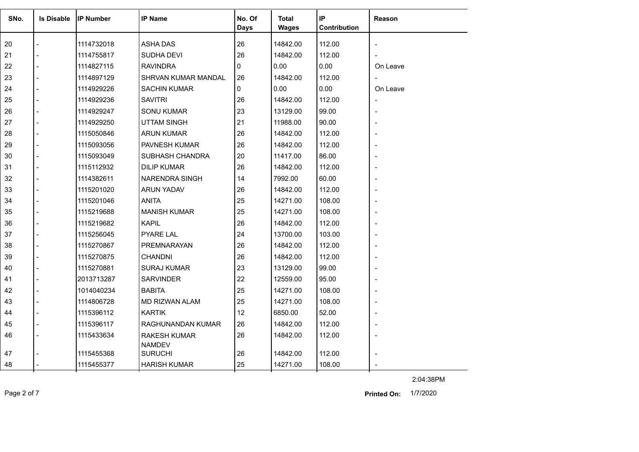| SNo. | <b>Is Disable</b>        | <b>IP Number</b> | <b>IP Name</b>                  | No. Of<br><b>Days</b> | Total<br><b>Wages</b> | $\sf IP$<br>Contribution | Reason                   |
|------|--------------------------|------------------|---------------------------------|-----------------------|-----------------------|--------------------------|--------------------------|
| 20   |                          | 1114732018       | <b>ASHA DAS</b>                 | 26                    | 14842.00              | 112.00                   |                          |
| 21   |                          | 1114755817       | SUDHA DEVI                      | 26                    | 14842.00              | 112.00                   |                          |
| 22   | $\overline{a}$           | 1114827115       | <b>RAVINDRA</b>                 | $\mathbf{0}$          | 0.00                  | 0.00                     | On Leave                 |
| 23   |                          | 1114897129       | SHRVAN KUMAR MANDAL             | 26                    | 14842.00              | 112.00                   | $\overline{\phantom{a}}$ |
| 24   |                          | 1114929226       | <b>SACHIN KUMAR</b>             | 0                     | 0.00                  | 0.00                     | On Leave                 |
| 25   | $\overline{a}$           | 1114929236       | <b>SAVITRI</b>                  | 26                    | 14842.00              | 112.00                   |                          |
| 26   | $\overline{a}$           | 1114929247       | <b>SONU KUMAR</b>               | 23                    | 13129.00              | 99.00                    |                          |
| 27   |                          | 1114929250       | <b>UTTAM SINGH</b>              | 21                    | 11988.00              | 90.00                    |                          |
| 28   | $\overline{\phantom{a}}$ | 1115050846       | <b>ARUN KUMAR</b>               | 26                    | 14842.00              | 112.00                   |                          |
| 29   |                          | 1115093056       | PAVNESH KUMAR                   | 26                    | 14842.00              | 112.00                   |                          |
| 30   |                          | 1115093049       | SUBHASH CHANDRA                 | 20                    | 11417.00              | 86.00                    |                          |
| 31   |                          | 1115112932       | <b>DILIP KUMAR</b>              | 26                    | 14842.00              | 112.00                   |                          |
| 32   |                          | 1114382611       | <b>NARENDRA SINGH</b>           | 14                    | 7992.00               | 60.00                    |                          |
| 33   |                          | 1115201020       | <b>ARUN YADAV</b>               | 26                    | 14842.00              | 112.00                   |                          |
| 34   |                          | 1115201046       | <b>ANITA</b>                    | 25                    | 14271.00              | 108.00                   |                          |
| 35   | $\overline{a}$           | 1115219688       | <b>MANISH KUMAR</b>             | 25                    | 14271.00              | 108.00                   |                          |
| 36   | $\blacksquare$           | 1115219682       | <b>KAPIL</b>                    | 26                    | 14842.00              | 112.00                   |                          |
| 37   |                          | 1115256045       | <b>PYARE LAL</b>                | 24                    | 13700.00              | 103.00                   |                          |
| 38   | $\overline{a}$           | 1115270867       | PREMNARAYAN                     | 26                    | 14842.00              | 112.00                   |                          |
| 39   |                          | 1115270875       | <b>CHANDNI</b>                  | 26                    | 14842.00              | 112.00                   |                          |
| 40   |                          | 1115270881       | <b>SURAJ KUMAR</b>              | 23                    | 13129.00              | 99.00                    |                          |
| 41   | $\blacksquare$           | 2013713287       | <b>SARVINDER</b>                | 22                    | 12559.00              | 95.00                    |                          |
| 42   |                          | 1014040234       | <b>BABITA</b>                   | 25                    | 14271.00              | 108.00                   |                          |
| 43   | $\overline{a}$           | 1114806728       | MD RIZWAN ALAM                  | 25                    | 14271.00              | 108.00                   |                          |
| 44   |                          | 1115396112       | <b>KARTIK</b>                   | 12                    | 6850.00               | 52.00                    |                          |
| 45   |                          | 1115396117       | RAGHUNANDAN KUMAR               | 26                    | 14842.00              | 112.00                   |                          |
| 46   |                          | 1115433634       | <b>RAKESH KUMAR</b>             | 26                    | 14842.00              | 112.00                   |                          |
| 47   |                          | 1115455368       | <b>NAMDEV</b><br><b>SURUCHI</b> | 26                    | 14842.00              | 112.00                   |                          |
| 48   |                          | 1115455377       | <b>HARISH KUMAR</b>             | 25                    | 14271.00              | 108.00                   |                          |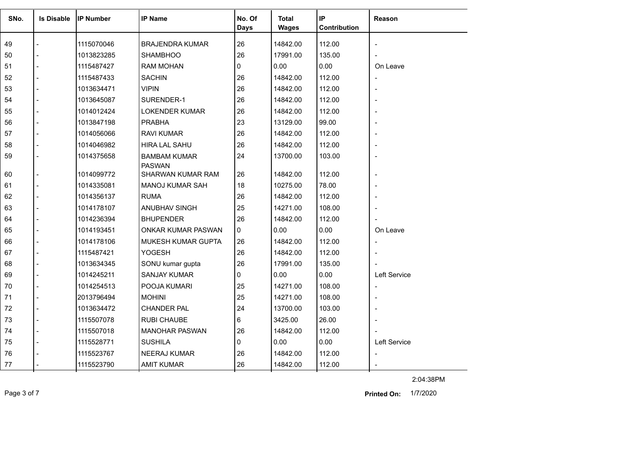| SNo. | <b>Is Disable</b> | <b>IP Number</b> | <b>IP Name</b>                       | No. Of       | <b>Total</b> | IP           | <b>Reason</b>            |
|------|-------------------|------------------|--------------------------------------|--------------|--------------|--------------|--------------------------|
|      |                   |                  |                                      | <b>Days</b>  | <b>Wages</b> | Contribution |                          |
| 49   |                   | 1115070046       | <b>BRAJENDRA KUMAR</b>               | 26           | 14842.00     | 112.00       |                          |
| 50   |                   | 1013823285       | <b>SHAMBHOO</b>                      | 26           | 17991.00     | 135.00       |                          |
| 51   |                   | 1115487427       | <b>RAM MOHAN</b>                     | 0            | 0.00         | 0.00         | On Leave                 |
| 52   |                   | 1115487433       | <b>SACHIN</b>                        | 26           | 14842.00     | 112.00       | $\overline{\phantom{a}}$ |
| 53   |                   | 1013634471       | <b>VIPIN</b>                         | 26           | 14842.00     | 112.00       |                          |
| 54   |                   | 1013645087       | SURENDER-1                           | 26           | 14842.00     | 112.00       |                          |
| 55   |                   | 1014012424       | <b>LOKENDER KUMAR</b>                | 26           | 14842.00     | 112.00       |                          |
| 56   |                   | 1013847198       | <b>PRABHA</b>                        | 23           | 13129.00     | 99.00        |                          |
| 57   |                   | 1014056066       | <b>RAVI KUMAR</b>                    | 26           | 14842.00     | 112.00       |                          |
| 58   |                   | 1014046982       | <b>HIRA LAL SAHU</b>                 | 26           | 14842.00     | 112.00       |                          |
| 59   |                   | 1014375658       | <b>BAMBAM KUMAR</b><br><b>PASWAN</b> | 24           | 13700.00     | 103.00       |                          |
| 60   |                   | 1014099772       | <b>SHARWAN KUMAR RAM</b>             | 26           | 14842.00     | 112.00       |                          |
| 61   |                   | 1014335081       | MANOJ KUMAR SAH                      | 18           | 10275.00     | 78.00        |                          |
| 62   |                   | 1014356137       | <b>RUMA</b>                          | 26           | 14842.00     | 112.00       |                          |
| 63   |                   | 1014178107       | ANUBHAV SINGH                        | 25           | 14271.00     | 108.00       |                          |
| 64   |                   | 1014236394       | <b>BHUPENDER</b>                     | 26           | 14842.00     | 112.00       |                          |
| 65   |                   | 1014193451       | ONKAR KUMAR PASWAN                   | $\mathbf{0}$ | 0.00         | 0.00         | On Leave                 |
| 66   |                   | 1014178106       | <b>MUKESH KUMAR GUPTA</b>            | 26           | 14842.00     | 112.00       | $\overline{\phantom{a}}$ |
| 67   |                   | 1115487421       | <b>YOGESH</b>                        | 26           | 14842.00     | 112.00       |                          |
| 68   |                   | 1013634345       | SONU kumar gupta                     | 26           | 17991.00     | 135.00       |                          |
| 69   |                   | 1014245211       | <b>SANJAY KUMAR</b>                  | $\Omega$     | 0.00         | 0.00         | Left Service             |
| 70   |                   | 1014254513       | POOJA KUMARI                         | 25           | 14271.00     | 108.00       |                          |
| 71   |                   | 2013796494       | <b>MOHINI</b>                        | 25           | 14271.00     | 108.00       |                          |
| 72   |                   | 1013634472       | <b>CHANDER PAL</b>                   | 24           | 13700.00     | 103.00       |                          |
| 73   |                   | 1115507078       | <b>RUBI CHAUBE</b>                   | 6            | 3425.00      | 26.00        |                          |
| 74   |                   | 1115507018       | <b>MANOHAR PASWAN</b>                | 26           | 14842.00     | 112.00       |                          |
| 75   |                   | 1115528771       | <b>SUSHILA</b>                       | 0            | 0.00         | 0.00         | <b>Left Service</b>      |
| 76   |                   | 1115523767       | <b>NEERAJ KUMAR</b>                  | 26           | 14842.00     | 112.00       | $\overline{\phantom{a}}$ |
| 77   |                   | 1115523790       | <b>AMIT KUMAR</b>                    | 26           | 14842.00     | 112.00       |                          |
|      |                   |                  |                                      |              |              |              |                          |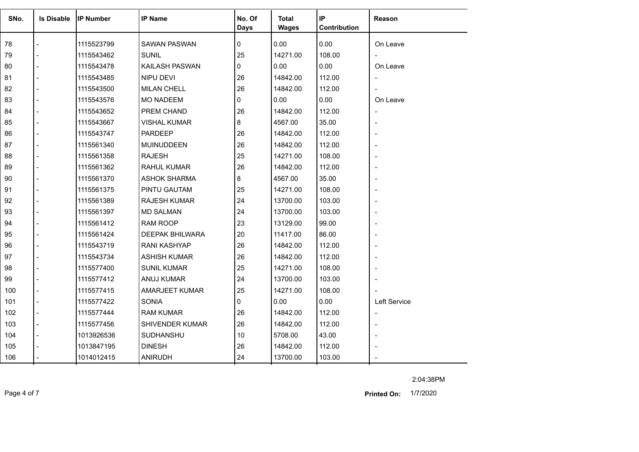| SNo. | <b>Is Disable</b> | <b>IP Number</b> | <b>IP Name</b>         | No. Of<br>Days | <b>Total</b><br><b>Wages</b> | IP<br>Contribution | Reason                   |
|------|-------------------|------------------|------------------------|----------------|------------------------------|--------------------|--------------------------|
| 78   |                   | 1115523799       | <b>SAWAN PASWAN</b>    | 0              | 0.00                         | 0.00               | On Leave                 |
| 79   |                   | 1115543462       | <b>SUNIL</b>           | 25             | 14271.00                     | 108.00             |                          |
| 80   |                   | 1115543478       | KAILASH PASWAN         | 0              | 0.00                         | 0.00               | On Leave                 |
| 81   |                   | 1115543485       | <b>NIPU DEVI</b>       | 26             | 14842.00                     | 112.00             | $\overline{\phantom{a}}$ |
| 82   |                   | 1115543500       | <b>MILAN CHELL</b>     | 26             | 14842.00                     | 112.00             |                          |
| 83   |                   | 1115543576       | <b>MO NADEEM</b>       | 0              | 0.00                         | 0.00               | On Leave                 |
| 84   |                   | 1115543652       | PREM CHAND             | 26             | 14842.00                     | 112.00             | $\overline{\phantom{a}}$ |
| 85   |                   | 1115543667       | VISHAL KUMAR           | 8              | 4567.00                      | 35.00              |                          |
| 86   |                   | 1115543747       | <b>PARDEEP</b>         | 26             | 14842.00                     | 112.00             |                          |
| 87   |                   | 1115561340       | <b>MUINUDDEEN</b>      | 26             | 14842.00                     | 112.00             |                          |
| 88   |                   | 1115561358       | <b>RAJESH</b>          | 25             | 14271.00                     | 108.00             |                          |
| 89   |                   | 1115561362       | <b>RAHUL KUMAR</b>     | 26             | 14842.00                     | 112.00             |                          |
| 90   |                   | 1115561370       | <b>ASHOK SHARMA</b>    | 8              | 4567.00                      | 35.00              | $\overline{\phantom{a}}$ |
| 91   |                   | 1115561375       | PINTU GAUTAM           | 25             | 14271.00                     | 108.00             |                          |
| 92   |                   | 1115561389       | <b>RAJESH KUMAR</b>    | 24             | 13700.00                     | 103.00             |                          |
| 93   |                   | 1115561397       | <b>MD SALMAN</b>       | 24             | 13700.00                     | 103.00             |                          |
| 94   |                   | 1115561412       | RAM ROOP               | 23             | 13129.00                     | 99.00              |                          |
| 95   |                   | 1115561424       | <b>DEEPAK BHILWARA</b> | 20             | 11417.00                     | 86.00              |                          |
| 96   |                   | 1115543719       | RANI KASHYAP           | 26             | 14842.00                     | 112.00             |                          |
| 97   |                   |                  |                        | 26             |                              |                    |                          |
|      |                   | 1115543734       | <b>ASHISH KUMAR</b>    | 25             | 14842.00<br>14271.00         | 112.00<br>108.00   |                          |
| 98   |                   | 1115577400       | <b>SUNIL KUMAR</b>     |                |                              |                    |                          |
| 99   |                   | 1115577412       | ANUJ KUMAR             | 24             | 13700.00                     | 103.00             |                          |
| 100  |                   | 1115577415       | AMARJEET KUMAR         | 25             | 14271.00                     | 108.00             |                          |
| 101  |                   | 1115577422       | <b>SONIA</b>           | 0              | 0.00                         | 0.00               | Left Service             |
| 102  |                   | 1115577444       | <b>RAM KUMAR</b>       | 26             | 14842.00                     | 112.00             | $\overline{a}$           |
| 103  |                   | 1115577456       | SHIVENDER KUMAR        | 26             | 14842.00                     | 112.00             |                          |
| 104  |                   | 1013926536       | <b>SUDHANSHU</b>       | 10             | 5708.00                      | 43.00              |                          |
| 105  |                   | 1013847195       | <b>DINESH</b>          | 26             | 14842.00                     | 112.00             |                          |
| 106  |                   | 1014012415       | <b>ANIRUDH</b>         | 24             | 13700.00                     | 103.00             |                          |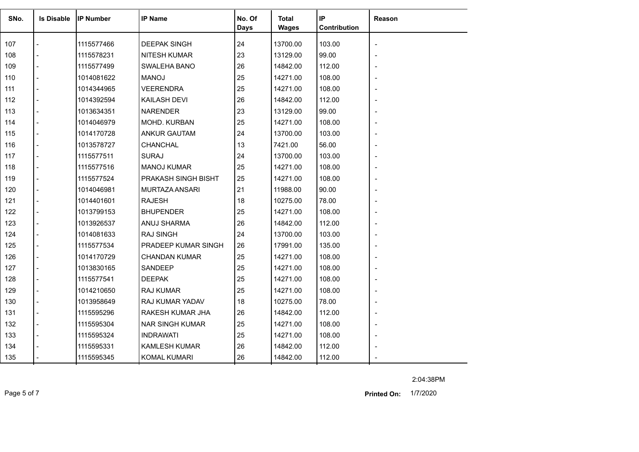| SNo. | <b>Is Disable</b> | <b>IP Number</b> | <b>IP Name</b>         | No. Of<br>Days | Total<br><b>Wages</b> | IP<br>Contribution | Reason         |
|------|-------------------|------------------|------------------------|----------------|-----------------------|--------------------|----------------|
| 107  |                   | 1115577466       | <b>DEEPAK SINGH</b>    | 24             | 13700.00              | 103.00             |                |
| 108  |                   | 1115578231       | <b>NITESH KUMAR</b>    | 23             | 13129.00              | 99.00              |                |
| 109  |                   | 1115577499       | SWALEHA BANO           | 26             | 14842.00              | 112.00             |                |
| 110  |                   | 1014081622       | <b>MANOJ</b>           | 25             | 14271.00              | 108.00             |                |
| 111  |                   | 1014344965       | <b>VEERENDRA</b>       | 25             | 14271.00              | 108.00             |                |
| 112  |                   | 1014392594       | KAILASH DEVI           | 26             | 14842.00              | 112.00             |                |
| 113  |                   | 1013634351       | <b>NARENDER</b>        | 23             | 13129.00              | 99.00              |                |
| 114  |                   | 1014046979       | MOHD. KURBAN           | 25             | 14271.00              | 108.00             |                |
| 115  |                   | 1014170728       | <b>ANKUR GAUTAM</b>    | 24             | 13700.00              | 103.00             |                |
| 116  |                   | 1013578727       | CHANCHAL               | 13             | 7421.00               | 56.00              |                |
| 117  |                   | 1115577511       | <b>SURAJ</b>           | 24             | 13700.00              | 103.00             |                |
| 118  |                   | 1115577516       | <b>MANOJ KUMAR</b>     | 25             | 14271.00              | 108.00             |                |
| 119  |                   | 1115577524       | PRAKASH SINGH BISHT    | 25             | 14271.00              | 108.00             |                |
| 120  |                   | 1014046981       | MURTAZA ANSARI         | 21             | 11988.00              | 90.00              |                |
| 121  |                   | 1014401601       | <b>RAJESH</b>          | 18             | 10275.00              | 78.00              |                |
| 122  |                   | 1013799153       | <b>BHUPENDER</b>       | 25             | 14271.00              | 108.00             |                |
| 123  |                   | 1013926537       | ANUJ SHARMA            | 26             | 14842.00              | 112.00             |                |
| 124  |                   | 1014081633       | <b>RAJ SINGH</b>       | 24             | 13700.00              | 103.00             |                |
| 125  |                   | 1115577534       | PRADEEP KUMAR SINGH    | 26             | 17991.00              | 135.00             |                |
| 126  |                   | 1014170729       | <b>CHANDAN KUMAR</b>   | 25             | 14271.00              | 108.00             |                |
| 127  |                   | 1013830165       | SANDEEP                | 25             | 14271.00              | 108.00             |                |
| 128  |                   | 1115577541       | <b>DEEPAK</b>          | 25             | 14271.00              | 108.00             |                |
| 129  |                   | 1014210650       | <b>RAJ KUMAR</b>       | 25             | 14271.00              | 108.00             |                |
| 130  |                   | 1013958649       | RAJ KUMAR YADAV        | 18             | 10275.00              | 78.00              |                |
| 131  |                   | 1115595296       | RAKESH KUMAR JHA       | 26             | 14842.00              | 112.00             |                |
| 132  |                   | 1115595304       | <b>NAR SINGH KUMAR</b> | 25             | 14271.00              | 108.00             | $\blacksquare$ |
| 133  |                   | 1115595324       | <b>INDRAWATI</b>       | 25             | 14271.00              | 108.00             |                |
| 134  |                   | 1115595331       | <b>KAMLESH KUMAR</b>   | 26             | 14842.00              | 112.00             |                |
| 135  |                   | 1115595345       | <b>KOMAL KUMARI</b>    | 26             | 14842.00              | 112.00             |                |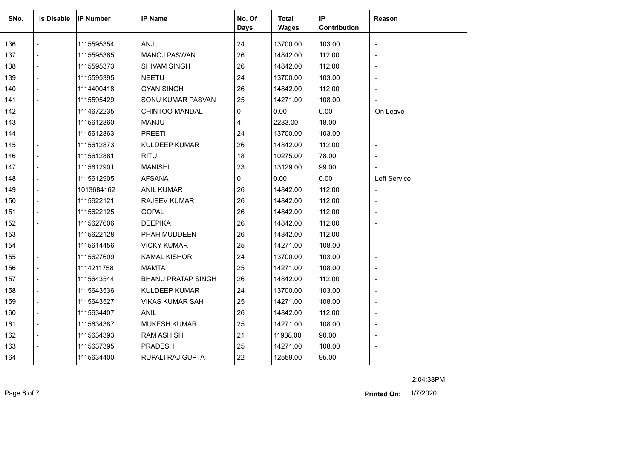| SNo. | <b>Is Disable</b> | <b>IP Number</b> | <b>IP Name</b>            | No. Of<br><b>Days</b> | <b>Total</b><br><b>Wages</b> | IP<br>Contribution | Reason                       |
|------|-------------------|------------------|---------------------------|-----------------------|------------------------------|--------------------|------------------------------|
| 136  |                   | 1115595354       | ANJU                      | 24                    | 13700.00                     | 103.00             | $\overline{\phantom{a}}$     |
| 137  |                   | 1115595365       | <b>MANOJ PASWAN</b>       | 26                    | 14842.00                     | 112.00             |                              |
| 138  |                   | 1115595373       | <b>SHIVAM SINGH</b>       | 26                    | 14842.00                     | 112.00             | $\blacksquare$               |
| 139  |                   | 1115595395       | <b>NEETU</b>              | 24                    | 13700.00                     | 103.00             |                              |
| 140  |                   | 1114400418       | <b>GYAN SINGH</b>         | 26                    | 14842.00                     | 112.00             |                              |
| 141  |                   | 1115595429       | SONU KUMAR PASVAN         | 25                    | 14271.00                     | 108.00             |                              |
| 142  |                   | 1114672235       | CHINTOO MANDAL            | 0                     | 0.00                         | 0.00               | On Leave                     |
| 143  | $\overline{a}$    | 1115612860       | <b>MANJU</b>              | 4                     | 2283.00                      | 18.00              | $\overline{a}$               |
| 144  |                   | 1115612863       | <b>PREETI</b>             | 24                    | 13700.00                     | 103.00             | $\overline{\phantom{a}}$     |
| 145  |                   | 1115612873       | <b>KULDEEP KUMAR</b>      | 26                    | 14842.00                     | 112.00             |                              |
| 146  |                   | 1115612881       | <b>RITU</b>               | 18                    | 10275.00                     | 78.00              | $\overline{\phantom{a}}$     |
| 147  |                   | 1115612901       | <b>MANISHI</b>            | 23                    | 13129.00                     | 99.00              |                              |
| 148  |                   |                  |                           | 0                     | 0.00                         | 0.00               | Left Service                 |
| 149  |                   | 1115612905       | <b>AFSANA</b>             | 26                    |                              |                    |                              |
|      |                   | 1013684162       | <b>ANIL KUMAR</b>         |                       | 14842.00                     | 112.00             | $\qquad \qquad \blacksquare$ |
| 150  |                   | 1115622121       | <b>RAJEEV KUMAR</b>       | 26                    | 14842.00                     | 112.00             |                              |
| 151  |                   | 1115622125       | <b>GOPAL</b>              | 26                    | 14842.00                     | 112.00             |                              |
| 152  |                   | 1115627606       | <b>DEEPIKA</b>            | 26                    | 14842.00                     | 112.00             |                              |
| 153  |                   | 1115622128       | PHAHIMUDDEEN              | 26                    | 14842.00                     | 112.00             | $\overline{a}$               |
| 154  |                   | 1115614456       | <b>VICKY KUMAR</b>        | 25                    | 14271.00                     | 108.00             |                              |
| 155  |                   | 1115627609       | <b>KAMAL KISHOR</b>       | 24                    | 13700.00                     | 103.00             | $\overline{\phantom{a}}$     |
| 156  |                   | 1114211758       | <b>MAMTA</b>              | 25                    | 14271.00                     | 108.00             |                              |
| 157  |                   | 1115643544       | <b>BHANU PRATAP SINGH</b> | 26                    | 14842.00                     | 112.00             |                              |
| 158  |                   | 1115643536       | <b>KULDEEP KUMAR</b>      | 24                    | 13700.00                     | 103.00             | $\blacksquare$               |
| 159  |                   | 1115643527       | <b>VIKAS KUMAR SAH</b>    | 25                    | 14271.00                     | 108.00             |                              |
| 160  | $\overline{a}$    | 1115634407       | <b>ANIL</b>               | 26                    | 14842.00                     | 112.00             | L,                           |
| 161  | $\blacksquare$    | 1115634387       | <b>MUKESH KUMAR</b>       | 25                    | 14271.00                     | 108.00             | $\overline{\phantom{a}}$     |
| 162  |                   | 1115634393       | <b>RAM ASHISH</b>         | 21                    | 11988.00                     | 90.00              |                              |
| 163  |                   | 1115637395       | <b>PRADESH</b>            | 25                    | 14271.00                     | 108.00             |                              |
| 164  |                   | 1115634400       | RUPALI RAJ GUPTA          | 22                    | 12559.00                     | 95.00              |                              |